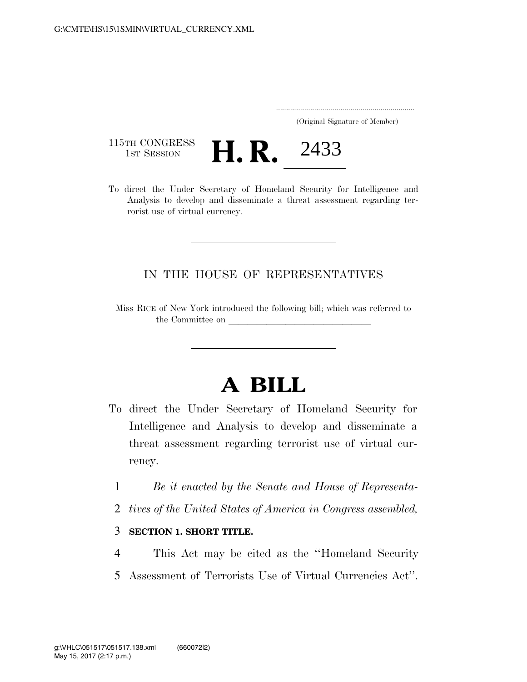..................................................................... (Original Signature of Member)

115TH CONGRESS<br>1st Session



To direct the Under Secretary of Homeland Security for Intelligence and Analysis to develop and disseminate a threat assessment regarding terrorist use of virtual currency.

## IN THE HOUSE OF REPRESENTATIVES

Miss RICE of New York introduced the following bill; which was referred to the Committee on

## **A BILL**

- To direct the Under Secretary of Homeland Security for Intelligence and Analysis to develop and disseminate a threat assessment regarding terrorist use of virtual currency.
	- 1 *Be it enacted by the Senate and House of Representa-*
	- 2 *tives of the United States of America in Congress assembled,*

## 3 **SECTION 1. SHORT TITLE.**

4 This Act may be cited as the ''Homeland Security 5 Assessment of Terrorists Use of Virtual Currencies Act''.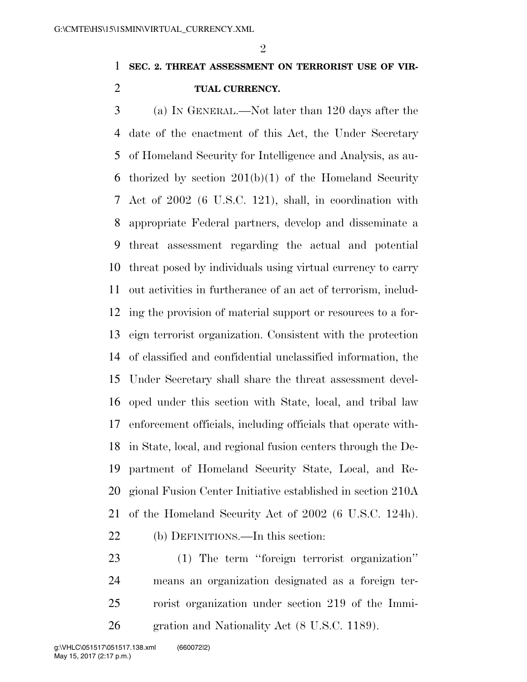## **SEC. 2. THREAT ASSESSMENT ON TERRORIST USE OF VIR-TUAL CURRENCY.**

 (a) IN GENERAL.—Not later than 120 days after the date of the enactment of this Act, the Under Secretary of Homeland Security for Intelligence and Analysis, as au- thorized by section 201(b)(1) of the Homeland Security Act of 2002 (6 U.S.C. 121), shall, in coordination with appropriate Federal partners, develop and disseminate a threat assessment regarding the actual and potential threat posed by individuals using virtual currency to carry out activities in furtherance of an act of terrorism, includ- ing the provision of material support or resources to a for- eign terrorist organization. Consistent with the protection of classified and confidential unclassified information, the Under Secretary shall share the threat assessment devel- oped under this section with State, local, and tribal law enforcement officials, including officials that operate with- in State, local, and regional fusion centers through the De- partment of Homeland Security State, Local, and Re- gional Fusion Center Initiative established in section 210A of the Homeland Security Act of 2002 (6 U.S.C. 124h).

- (b) DEFINITIONS.—In this section:
- (1) The term ''foreign terrorist organization'' means an organization designated as a foreign ter- rorist organization under section 219 of the Immi-gration and Nationality Act (8 U.S.C. 1189).